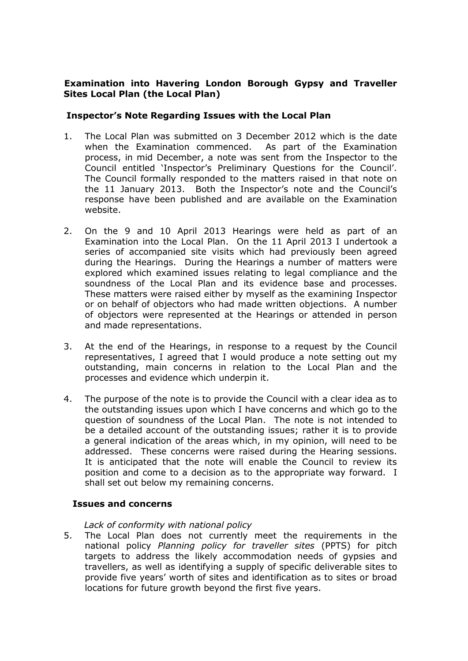# **Examination into Havering London Borough Gypsy and Traveller Sites Local Plan (the Local Plan)**

# **Inspector's Note Regarding Issues with the Local Plan**

- 1. The Local Plan was submitted on 3 December 2012 which is the date when the Examination commenced. As part of the Examination process, in mid December, a note was sent from the Inspector to the Council entitled 'Inspector's Preliminary Questions for the Council'. The Council formally responded to the matters raised in that note on the 11 January 2013. Both the Inspector's note and the Council's response have been published and are available on the Examination website.
- 2. On the 9 and 10 April 2013 Hearings were held as part of an Examination into the Local Plan. On the 11 April 2013 I undertook a series of accompanied site visits which had previously been agreed during the Hearings. During the Hearings a number of matters were explored which examined issues relating to legal compliance and the soundness of the Local Plan and its evidence base and processes. These matters were raised either by myself as the examining Inspector or on behalf of objectors who had made written objections. A number of objectors were represented at the Hearings or attended in person and made representations.
- 3. At the end of the Hearings, in response to a request by the Council representatives, I agreed that I would produce a note setting out my outstanding, main concerns in relation to the Local Plan and the processes and evidence which underpin it.
- 4. The purpose of the note is to provide the Council with a clear idea as to the outstanding issues upon which I have concerns and which go to the question of soundness of the Local Plan. The note is not intended to be a detailed account of the outstanding issues; rather it is to provide a general indication of the areas which, in my opinion, will need to be addressed. These concerns were raised during the Hearing sessions. It is anticipated that the note will enable the Council to review its position and come to a decision as to the appropriate way forward. I shall set out below my remaining concerns.

### **Issues and concerns**

### *Lack of conformity with national policy*

5. The Local Plan does not currently meet the requirements in the national policy *Planning policy for traveller sites* (PPTS) for pitch targets to address the likely accommodation needs of gypsies and travellers, as well as identifying a supply of specific deliverable sites to provide five years' worth of sites and identification as to sites or broad locations for future growth beyond the first five years.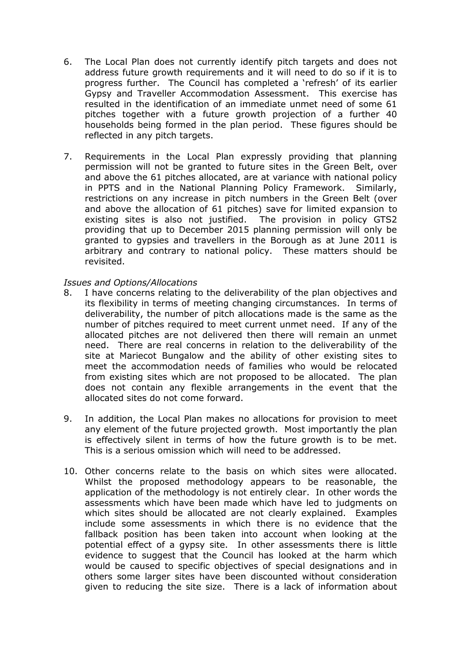- 6. The Local Plan does not currently identify pitch targets and does not address future growth requirements and it will need to do so if it is to progress further. The Council has completed a 'refresh' of its earlier Gypsy and Traveller Accommodation Assessment. This exercise has resulted in the identification of an immediate unmet need of some 61 pitches together with a future growth projection of a further 40 households being formed in the plan period. These figures should be reflected in any pitch targets.
- 7. Requirements in the Local Plan expressly providing that planning permission will not be granted to future sites in the Green Belt, over and above the 61 pitches allocated, are at variance with national policy in PPTS and in the National Planning Policy Framework. Similarly, restrictions on any increase in pitch numbers in the Green Belt (over and above the allocation of 61 pitches) save for limited expansion to existing sites is also not justified. The provision in policy GTS2 providing that up to December 2015 planning permission will only be granted to gypsies and travellers in the Borough as at June 2011 is arbitrary and contrary to national policy. These matters should be revisited.

# *Issues and Options/Allocations*

- 8. I have concerns relating to the deliverability of the plan objectives and its flexibility in terms of meeting changing circumstances. In terms of deliverability, the number of pitch allocations made is the same as the number of pitches required to meet current unmet need. If any of the allocated pitches are not delivered then there will remain an unmet need. There are real concerns in relation to the deliverability of the site at Mariecot Bungalow and the ability of other existing sites to meet the accommodation needs of families who would be relocated from existing sites which are not proposed to be allocated. The plan does not contain any flexible arrangements in the event that the allocated sites do not come forward.
- 9. In addition, the Local Plan makes no allocations for provision to meet any element of the future projected growth. Most importantly the plan is effectively silent in terms of how the future growth is to be met. This is a serious omission which will need to be addressed.
- 10. Other concerns relate to the basis on which sites were allocated. Whilst the proposed methodology appears to be reasonable, the application of the methodology is not entirely clear. In other words the assessments which have been made which have led to judgments on which sites should be allocated are not clearly explained. Examples include some assessments in which there is no evidence that the fallback position has been taken into account when looking at the potential effect of a gypsy site. In other assessments there is little evidence to suggest that the Council has looked at the harm which would be caused to specific objectives of special designations and in others some larger sites have been discounted without consideration given to reducing the site size. There is a lack of information about